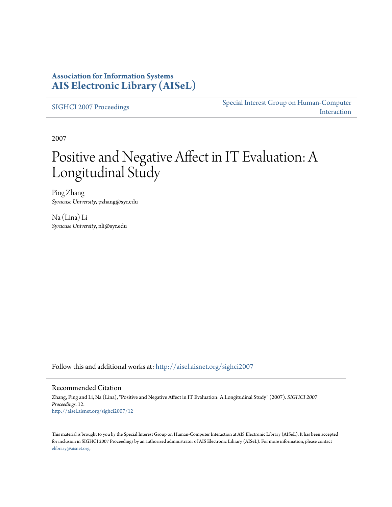### **Association for Information Systems [AIS Electronic Library \(AISeL\)](http://aisel.aisnet.org?utm_source=aisel.aisnet.org%2Fsighci2007%2F12&utm_medium=PDF&utm_campaign=PDFCoverPages)**

[SIGHCI 2007 Proceedings](http://aisel.aisnet.org/sighci2007?utm_source=aisel.aisnet.org%2Fsighci2007%2F12&utm_medium=PDF&utm_campaign=PDFCoverPages)

[Special Interest Group on Human-Computer](http://aisel.aisnet.org/sighci?utm_source=aisel.aisnet.org%2Fsighci2007%2F12&utm_medium=PDF&utm_campaign=PDFCoverPages) [Interaction](http://aisel.aisnet.org/sighci?utm_source=aisel.aisnet.org%2Fsighci2007%2F12&utm_medium=PDF&utm_campaign=PDFCoverPages)

2007

# Positive and Negative Affect in IT Evaluation: A Longitudinal Study

Ping Zhang *Syracuse University*, pzhang@syr.edu

Na (Lina) Li *Syracuse University*, nli@syr.edu

Follow this and additional works at: [http://aisel.aisnet.org/sighci2007](http://aisel.aisnet.org/sighci2007?utm_source=aisel.aisnet.org%2Fsighci2007%2F12&utm_medium=PDF&utm_campaign=PDFCoverPages)

#### Recommended Citation

Zhang, Ping and Li, Na (Lina), "Positive and Negative Affect in IT Evaluation: A Longitudinal Study" (2007). *SIGHCI 2007 Proceedings*. 12. [http://aisel.aisnet.org/sighci2007/12](http://aisel.aisnet.org/sighci2007/12?utm_source=aisel.aisnet.org%2Fsighci2007%2F12&utm_medium=PDF&utm_campaign=PDFCoverPages)

This material is brought to you by the Special Interest Group on Human-Computer Interaction at AIS Electronic Library (AISeL). It has been accepted for inclusion in SIGHCI 2007 Proceedings by an authorized administrator of AIS Electronic Library (AISeL). For more information, please contact [elibrary@aisnet.org.](mailto:elibrary@aisnet.org%3E)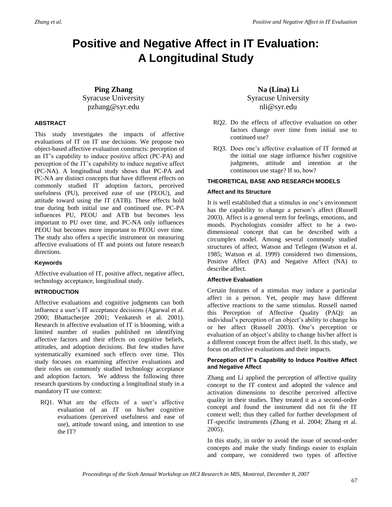## **Positive and Negative Affect in IT Evaluation: A Longitudinal Study**

#### **Ping Zhang** Syracuse University pzhang@syr.edu

#### **ABSTRACT**

This study investigates the impacts of affective evaluations of IT on IT use decisions. We propose two object-based affective evaluation constructs: perception of an IT's capability to induce positive affect (PC-PA) and perception of the IT's capability to induce negative affect (PC-NA). A longitudinal study shows that PC-PA and PC-NA are distinct concepts that have different effects on commonly studied IT adoption factors, perceived usefulness (PU), perceived ease of use (PEOU), and attitude toward using the IT (ATB). These effects hold true during both initial use and continued use. PC-PA influences PU, PEOU and ATB but becomes less important to PU over time, and PC-NA only influences PEOU but becomes more important to PEOU over time. The study also offers a specific instrument on measuring affective evaluations of IT and points out future research directions.

#### **Keywords**

Affective evaluation of IT, positive affect, negative affect, technology acceptance, longitudinal study.

#### **INTRODUCTION**

Affective evaluations and cognitive judgments can both influence a user's IT acceptance decisions (Agarwal et al. 2000; Bhattacherjee 2001; Venkatesh et al. 2001). Research in affective evaluation of IT is blooming, with a limited number of studies published on identifying affective factors and their effects on cognitive beliefs, attitudes, and adoption decisions. But few studies have systematically examined such effects over time. This study focuses on examining affective evaluations and their roles on commonly studied technology acceptance and adoption factors. We address the following three research questions by conducting a longitudinal study in a mandatory IT use context:

RQ1. What are the effects of a user's affective evaluation of an IT on his/her cognitive evaluations (perceived usefulness and ease of use), attitude toward using, and intention to use the IT?

**Na (Lina) Li** Syracuse University nli@syr.edu

- RQ2. Do the effects of affective evaluation on other factors change over time from initial use to continued use?
- RQ3. Does one's affective evaluation of IT formed at the initial use stage influence his/her cognitive judgments, attitude and intention at the continuous use stage? If so, how?

#### **THEORETICAL BASE AND RESEARCH MODELS**

#### **Affect and Its Structure**

It is well established that a stimulus in one's environment has the capability to change a person's affect (Russell 2003). Affect is a general term for feelings, emotions, and moods. Psychologists consider affect to be a twodimensional concept that can be described with a circumplex model. Among several commonly studied structures of affect, Watson and Tellegen (Watson et al. 1985; Watson et al. 1999) considered two dimensions, Positive Affect (PA) and Negative Affect (NA) to describe affect.

#### **Affective Evaluation**

Certain features of a stimulus may induce a particular affect in a person. Yet, people may have different affective reactions to the same stimulus. Russell named this Perception of Affective Quality (PAQ): an individual's perception of an object's ability to change his or her affect (Russell 2003). One's perception or evaluation of an object's ability to change his/her affect is a different concept from the affect itself. In this study, we focus on affective evaluations and their impacts.

#### **Perception of IT's Capability to Induce Positive Affect and Negative Affect**

Zhang and Li applied the perception of affective quality concept to the IT context and adopted the valence and activation dimensions to describe perceived affective quality in their studies. They treated it as a second-order concept and found the instrument did not fit the IT context well; thus they called for further development of IT-specific instruments (Zhang et al. 2004; Zhang et al. 2005).

In this study, in order to avoid the issue of second-order concepts and make the study findings easier to explain and compare, we considered two types of affective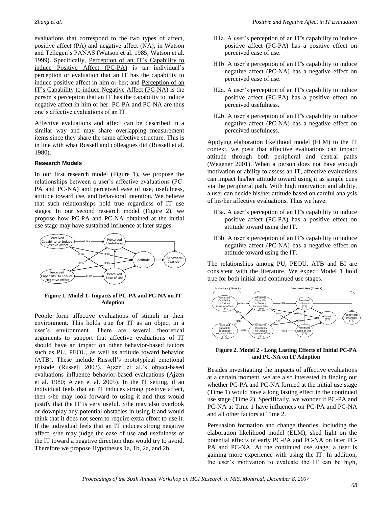evaluations that correspond to the two types of affect, positive affect (PA) and negative affect (NA), in Watson and Tellegen's PANAS (Watson et al. 1985; Watson et al. 1999). Specifically, Perception of an IT's Capability to induce Positive Affect (PC-PA) is an individual's perception or evaluation that an IT has the capability to induce positive affect in him or her; and Perception of an IT's Capability to induce Negative Affect (PC-NA) is the person's perception that an IT has the capability to induce negative affect in him or her. PC-PA and PC-NA are thus one's affective evaluations of an IT.

Affective evaluations and affect can be described in a similar way and may share overlapping measurement items since they share the same affective structure. This is in line with what Russell and colleagues did (Russell et al. 1980).

#### **Research Models**

In our first research model (Figure 1), we propose the relationships between a user's affective evaluations (PC-PA and PC-NA) and perceived ease of use, usefulness, attitude toward use, and behavioral intention. We believe that such relationships hold true regardless of IT use stages. In our second research model (Figure 2), we propose how PC-PA and PC-NA obtained at the initial use stage may have sustained influence at later stages.



#### **Figure 1. Model 1- Impacts of PC-PA and PC-NA on IT Adoption**

People form affective evaluations of stimuli in their environment. This holds true for IT as an object in a user's environment. There are several theoretical arguments to support that affective evaluations of IT should have an impact on other behavior-based factors such as PU, PEOU, as well as attitude toward behavior (ATB). These include Russell's prototypical emotional episode (Russell 2003), Ajzen et al.'s object-based evaluations influence behavior-based evaluations (Ajzen et al. 1980; Ajzen et al. 2005). In the IT setting, if an individual feels that an IT induces strong positive affect, then s/he may look forward to using it and thus would justify that the IT is very useful. S/he may also overlook or downplay any potential obstacles in using it and would think that it does not seem to require extra effort to use it. If the individual feels that an IT induces strong negative affect, s/he may judge the ease of use and usefulness of the IT toward a negative direction thus would try to avoid. Therefore we propose Hypotheses 1a, 1b, 2a, and 2b.

- H1a. A user's perception of an IT's capability to induce positive affect (PC-PA) has a positive effect on perceived ease of use.
- H1b. A user's perception of an IT's capability to induce negative affect (PC-NA) has a negative effect on perceived ease of use.
- H2a. A user's perception of an IT's capability to induce positive affect (PC-PA) has a positive effect on perceived usefulness.
- H2b. A user's perception of an IT's capability to induce negative affect (PC-NA) has a negative effect on perceived usefulness.

Applying elaboration likelihood model (ELM) to the IT context, we posit that affective evaluations can impact attitude through both peripheral and central paths (Wegener 2001). When a person does not have enough motivation or ability to assess an IT, affective evaluations can impact his/her attitude toward using it as simple cues via the peripheral path. With high motivation and ability, a user can decide his/her attitude based on careful analysis of his/her affective evaluations. Thus we have:

- H3a. A user's perception of an IT's capability to induce positive affect (PC-PA) has a positive effect on attitude toward using the IT.
- H3b. A user's perception of an IT's capability to induce negative affect (PC-NA) has a negative effect on attitude toward using the IT.

The relationships among PU, PEOU, ATB and BI are consistent with the literature. We expect Model 1 hold true for both initial and continued use stages.



**Figure 2. Model 2 - Long Lasting Effects of Initial PC-PA and PC-NA on IT Adoption**

Besides investigating the impacts of affective evaluations at a certain moment, we are also interested in finding out whether PC-PA and PC-NA formed at the initial use stage (Time 1) would have a long lasting effect in the continued use stage (Time 2). Specifically, we wonder if PC-PA and PC-NA at Time 1 have influences on PC-PA and PC-NA and all other factors at Time 2.

Persuasion formation and change theories, including the elaboration likelihood model (ELM), shed light on the potential effects of early PC-PA and PC-NA on later PC-PA and PC-NA. At the continued use stage, a user is gaining more experience with using the IT. In addition, the user's motivation to evaluate the IT can be high,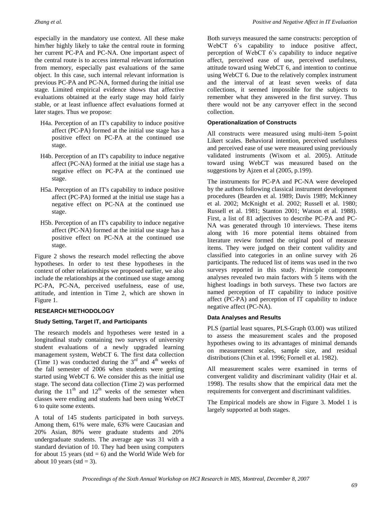especially in the mandatory use context. All these make him/her highly likely to take the central route in forming her current PC-PA and PC-NA. One important aspect of the central route is to access internal relevant information from memory, especially past evaluations of the same object. In this case, such internal relevant information is previous PC-PA and PC-NA, formed during the initial use stage. Limited empirical evidence shows that affective evaluations obtained at the early stage may hold fairly stable, or at least influence affect evaluations formed at later stages. Thus we propose:

- H4a. Perception of an IT's capability to induce positive affect (PC-PA) formed at the initial use stage has a positive effect on PC-PA at the continued use stage.
- H4b. Perception of an IT's capability to induce negative affect (PC-NA) formed at the initial use stage has a negative effect on PC-PA at the continued use stage.
- H5a. Perception of an IT's capability to induce positive affect (PC-PA) formed at the initial use stage has a negative effect on PC-NA at the continued use stage.
- H5b. Perception of an IT's capability to induce negative affect (PC-NA) formed at the initial use stage has a positive effect on PC-NA at the continued use stage.

Figure 2 shows the research model reflecting the above hypotheses. In order to test these hypotheses in the context of other relationships we proposed earlier, we also include the relationships at the continued use stage among PC-PA, PC-NA, perceived usefulness, ease of use, attitude, and intention in Time 2, which are shown in Figure 1.

#### **RESEARCH METHODOLOGY**

#### **Study Setting, Target IT, and Participants**

The research models and hypotheses were tested in a longitudinal study containing two surveys of university student evaluations of a newly upgraded learning management system, WebCT 6. The first data collection (Time 1) was conducted during the  $3<sup>rd</sup>$  and  $4<sup>th</sup>$  weeks of the fall semester of 2006 when students were getting started using WebCT 6. We consider this as the initial use stage. The second data collection (Time 2) was performed during the  $11<sup>th</sup>$  and  $12<sup>th</sup>$  weeks of the semester when classes were ending and students had been using WebCT 6 to quite some extents.

A total of 145 students participated in both surveys. Among them, 61% were male, 63% were Caucasian and 20% Asian, 80% were graduate students and 20% undergraduate students. The average age was 31 with a standard deviation of 10. They had been using computers for about 15 years (std  $= 6$ ) and the World Wide Web for about 10 years (std  $=$  3).

Both surveys measured the same constructs: perception of WebCT 6's capability to induce positive affect, perception of WebCT 6's capability to induce negative affect, perceived ease of use, perceived usefulness, attitude toward using WebCT 6, and intention to continue using WebCT 6. Due to the relatively complex instrument and the interval of at least seven weeks of data collections, it seemed impossible for the subjects to remember what they answered in the first survey. Thus there would not be any carryover effect in the second collection.

#### **Operationalization of Constructs**

All constructs were measured using multi-item 5-point Likert scales. Behavioral intention, perceived usefulness and perceived ease of use were measured using previously validated instruments (Wixom et al. 2005). Attitude toward using WebCT was measured based on the suggestions by Ajzen et al (2005, p.199).

The instruments for PC-PA and PC-NA were developed by the authors following classical instrument development procedures (Bearden et al. 1989; Davis 1989; McKinney et al. 2002; McKnight et al. 2002; Russell et al. 1980; Russell et al. 1981; Stanton 2001; Watson et al. 1988). First, a list of 81 adjectives to describe PC-PA and PC-NA was generated through 10 interviews. These items along with 16 more potential items obtained from literature review formed the original pool of measure items. They were judged on their content validity and classified into categories in an online survey with 26 participants. The reduced list of items was used in the two surveys reported in this study. Principle component analyses revealed two main factors with 5 items with the highest loadings in both surveys. These two factors are named perception of IT capability to induce positive affect (PC-PA) and perception of IT capability to induce negative affect (PC-NA).

#### **Data Analyses and Results**

PLS (partial least squares, PLS-Graph 03.00) was utilized to assess the measurement scales and the proposed hypotheses owing to its advantages of minimal demands on measurement scales, sample size, and residual distributions (Chin et al. 1996; Fornell et al. 1982).

All measurement scales were examined in terms of convergent validity and discriminant validity (Hair et al. 1998). The results show that the empirical data met the requirements for convergent and discriminant validities.

The Empirical models are show in Figure 3. Model 1 is largely supported at both stages.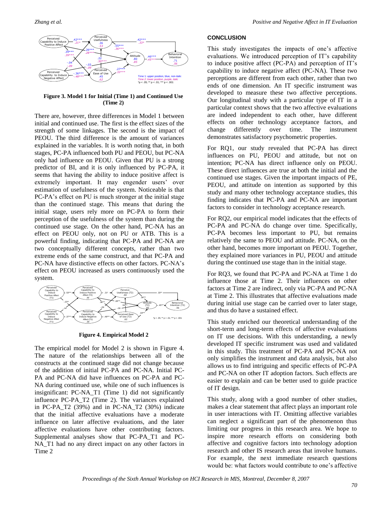

**Figure 3. Model 1 for Initial (Time 1) and Continued Use (Time 2)**

There are, however, three differences in Model 1 between initial and continued use. The first is the effect sizes of the strength of some linkages. The second is the impact of PEOU. The third difference is the amount of variances explained in the variables. It is worth noting that, in both stages, PC-PA influenced both PU and PEOU, but PC-NA only had influence on PEOU. Given that PU is a strong predictor of BI, and it is only influenced by PC-PA, it seems that having the ability to induce positive affect is extremely important. It may engender users' over estimation of usefulness of the system. Noticeable is that PC-PA's effect on PU is much stronger at the initial stage than the continued stage. This means that during the initial stage, users rely more on PC-PA to form their perception of the usefulness of the system than during the continued use stage. On the other hand, PC-NA has an effect on PEOU only, not on PU or ATB. This is a powerful finding, indicating that PC-PA and PC-NA are two conceptually different concepts, rather than two extreme ends of the same construct, and that PC-PA and PC-NA have distinctive effects on other factors. PC-NA's effect on PEOU increased as users continuously used the system. Example to the set of the set of the set of the set of the set of the set of the set of the set of the set of the set of the set of the set of the set of the set of the set of the set of the set of the set of the set of t



**Figure 4. Empirical Model 2**

The empirical model for Model 2 is shown in Figure 4. The nature of the relationships between all of the constructs at the continued stage did not change because of the addition of initial PC-PA and PC-NA. Initial PC-PA and PC-NA did have influences on PC-PA and PC-NA during continued use, while one of such influences is insignificant: PC-NA\_T1 (Time 1) did not significantly influence PC-PA\_T2 (Time 2). The variances explained in PC-PA $T2$  (39%) and in PC-NA $T2$  (30%) indicate that the initial affective evaluations have a moderate influence on later affective evaluations, and the later affective evaluations have other contributing factors. Supplemental analyses show that PC-PA\_T1 and PC-NA\_T1 had no any direct impact on any other factors in Time 2

#### **CONCLUSION**

This study investigates the impacts of one's affective evaluations. We introduced perception of IT's capability to induce positive affect (PC-PA) and perception of IT's capability to induce negative affect (PC-NA). These two perceptions are different from each other, rather than two ends of one dimension. An IT specific instrument was developed to measure these two affective perceptions. Our longitudinal study with a particular type of IT in a particular context shows that the two affective evaluations are indeed independent to each other, have different effects on other technology acceptance factors, and change differently over time. The instrument demonstrates satisfactory psychometric properties.

For RQ1, our study revealed that PC-PA has direct influences on PU, PEOU and attitude, but not on intention; PC-NA has direct influence only on PEOU. These direct influences are true at both the initial and the continued use stages. Given the important impacts of PE, PEOU, and attitude on intention as supported by this study and many other technology acceptance studies, this finding indicates that PC-PA and PC-NA are important factors to consider in technology acceptance research.

For RQ2, our empirical model indicates that the effects of PC-PA and PC-NA do change over time. Specifically, PC-PA becomes less important to PU, but remains relatively the same to PEOU and attitude. PC-NA, on the other hand, becomes more important on PEOU. Together, they explained more variances in PU, PEOU and attitude during the continued use stage than in the initial stage.

For RQ3, we found that PC-PA and PC-NA at Time 1 do influence those at Time 2. Their influences on other factors at Time 2 are indirect, only via PC-PA and PC-NA at Time 2. This illustrates that affective evaluations made during initial use stage can be carried over to later stage, and thus do have a sustained effect.

This study enriched our theoretical understanding of the short-term and long-term effects of affective evaluations on IT use decisions. With this understanding, a newly developed IT specific instrument was used and validated in this study. This treatment of PC-PA and PC-NA not only simplifies the instrument and data analysis, but also allows us to find intriguing and specific effects of PC-PA and PC-NA on other IT adoption factors. Such effects are easier to explain and can be better used to guide practice of IT design.

This study, along with a good number of other studies, makes a clear statement that affect plays an important role in user interactions with IT. Omitting affective variables can neglect a significant part of the phenomenon thus limiting our progress in this research area. We hope to inspire more research efforts on considering both affective and cognitive factors into technology adoption research and other IS research areas that involve humans. For example, the next immediate research questions